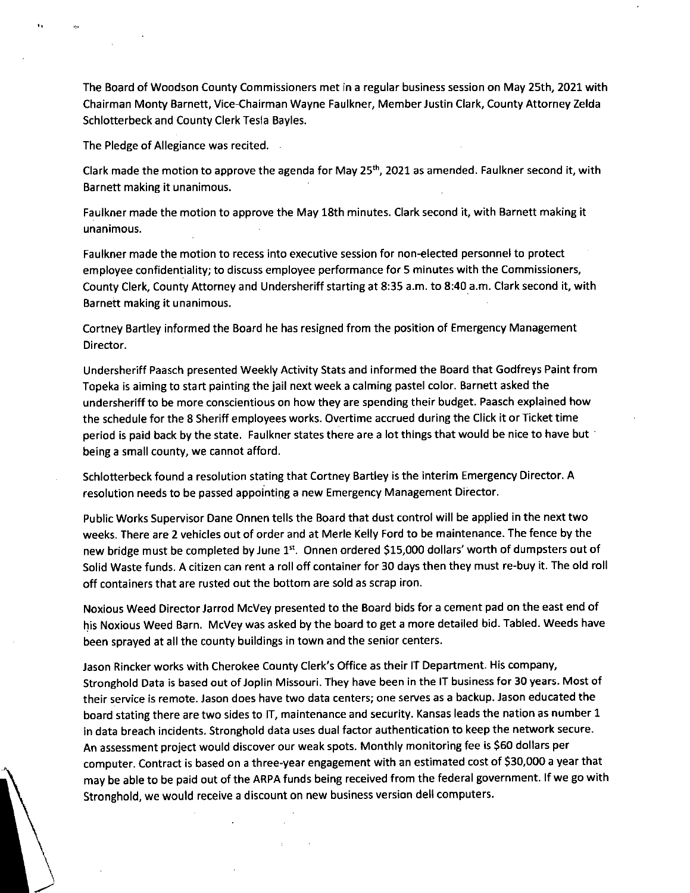The Board of Woodson County Commissioners met in a regular business session on May 25th, 2021 with Chairman Monty Barnett, Vice-Chairman Wayne Faulkner, Member Justin Clark, County Attorney Zelda Schlotterbeck and County Clerk Tesla Bayles.

The Pledge of Allegiance was recited.

 $\sum$ 

Clark made the motion to approve the agenda for May 25<sup>th</sup>, 2021 as amended. Faulkner second it, with Barnett making it unanimous.

Faulkner made the motion to approve the May 18th minutes. Clark second it, with Barnett making it unanimous.

Faulkner made the motion to recess into executive session for non-elected personnel to protect employee confidentiality; to discuss employee performance for 5 minutes with the Commissioners, County Clerk, County Attorney and Undersheriff starting at 8:35 a.m. to 8:40 a.m. Clark second it, with Barnett making it unanimous.

Cortney Bartley informed the Board he has resigned from the position of Emergency Management Director.

Undersheriff Paasch presented Weekly Activity Stats and informed the Board that Godfreys Paint from Topeka is aiming to start painting the jail next week a calming pastel color. Barnett asked the undersheriff to be more conscientious on how they are spending their budget. Paasch explained how the schedule for the 8 Sheriff employees works. Overtime accrued during the Click it or Ticket time period is paid back by the state. Faulkner states there are a lot things that would be nice to have but being a small county, we cannot afford.

Schlotterbeck found a resolution stating that Cortney Bartley is the interim Emergency Director. A resolution needs to be passed appointing a new Emergency Management Director.

Public Works Supervisor Dane Onnen tells the Board that dust control will be applied in the next two weeks. There are 2 vehicles out of order and at Merle Kelly Ford to be maintenance. The fence by the new bridge must be completed by June 1st. Onnen ordered \$15,000 dollars' worth of dumpsters out of Solid Waste funds. A citizen can rent a roll off container for 30 days then they must re-buy it. The old roll off containers that are rusted out the bottom are sold as scrap iron.

Noxious Weed Director Jarrod McVey presented to the Board bids for a cement pad on the east end of his Noxious Weed Barn. McVey was asked by the board to get a more detailed bid. Tabled. Weeds have been sprayed at all the county buildings in town and the senior centers.

Jason Rincker works with Cherokee County Clerk's Office as their IT Department. His company, Stronghold Data is based out of Joplin Missouri. They have been in the IT business for 30 years. Most of their service is remote. Jason does have two data centers; one serves as a backup. Jason educated the board stating there are two sides to IT, maintenance and security. Kansas leads the nation as number 1 in data breach incidents. Stronghold data uses dual factor authentication to keep the network secure. An assessment project would discover our weak spots. Monthly monitoring fee is \$60 dollars per computer. Contract is based on a three-year engagement with an estimated cost of \$30,000 a year that may be able to be paid out of the ARPA funds being received from the federal government. If we go with Stronghold, we would receive a discount on new business version dell computers.